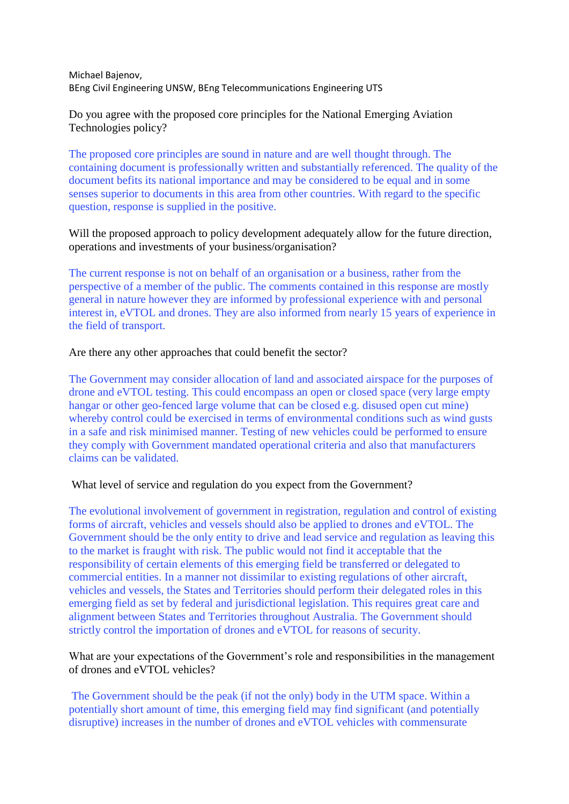Michael Bajenov, BEng Civil Engineering UNSW, BEng Telecommunications Engineering UTS

Do you agree with the proposed core principles for the National Emerging Aviation Technologies policy?

The proposed core principles are sound in nature and are well thought through. The containing document is professionally written and substantially referenced. The quality of the document befits its national importance and may be considered to be equal and in some senses superior to documents in this area from other countries. With regard to the specific question, response is supplied in the positive.

Will the proposed approach to policy development adequately allow for the future direction, operations and investments of your business/organisation?

The current response is not on behalf of an organisation or a business, rather from the perspective of a member of the public. The comments contained in this response are mostly general in nature however they are informed by professional experience with and personal interest in, eVTOL and drones. They are also informed from nearly 15 years of experience in the field of transport.

#### Are there any other approaches that could benefit the sector?

The Government may consider allocation of land and associated airspace for the purposes of drone and eVTOL testing. This could encompass an open or closed space (very large empty hangar or other geo-fenced large volume that can be closed e.g. disused open cut mine) whereby control could be exercised in terms of environmental conditions such as wind gusts in a safe and risk minimised manner. Testing of new vehicles could be performed to ensure they comply with Government mandated operational criteria and also that manufacturers claims can be validated.

#### What level of service and regulation do you expect from the Government?

The evolutional involvement of government in registration, regulation and control of existing forms of aircraft, vehicles and vessels should also be applied to drones and eVTOL. The Government should be the only entity to drive and lead service and regulation as leaving this to the market is fraught with risk. The public would not find it acceptable that the responsibility of certain elements of this emerging field be transferred or delegated to commercial entities. In a manner not dissimilar to existing regulations of other aircraft, vehicles and vessels, the States and Territories should perform their delegated roles in this emerging field as set by federal and jurisdictional legislation. This requires great care and alignment between States and Territories throughout Australia. The Government should strictly control the importation of drones and eVTOL for reasons of security.

# What are your expectations of the Government's role and responsibilities in the management of drones and eVTOL vehicles?

The Government should be the peak (if not the only) body in the UTM space. Within a potentially short amount of time, this emerging field may find significant (and potentially disruptive) increases in the number of drones and eVTOL vehicles with commensurate